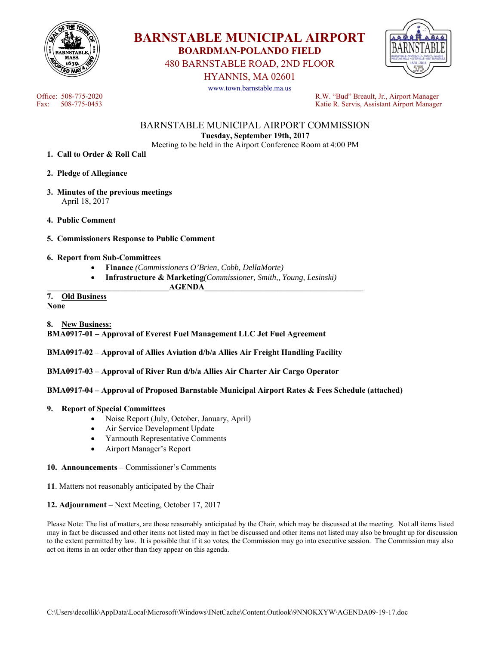



480 BARNSTABLE ROAD, 2ND FLOOR

HYANNIS, MA 02601

www.town.barnstable.ma.us



Office: 508-775-2020<br>
Fax: 508-775-0453<br>
Fax: 508-775-0453<br>
R.W. "Bud" Breault, Jr., Airport Manager Katie R. Servis, Assistant Airport Manager

# BARNSTABLE MUNICIPAL AIRPORT COMMISSION **Tuesday, September 19th, 2017**

Meeting to be held in the Airport Conference Room at 4:00 PM

- **1. Call to Order & Roll Call**
- **2. Pledge of Allegiance**
- **3. Minutes of the previous meetings**  April 18, 2017
- **4. Public Comment**
- **5. Commissioners Response to Public Comment**
- **6. Report from Sub-Committees** 
	- **Finance** *(Commissioners O'Brien, Cobb, DellaMorte)*
	- **Infrastructure & Marketing***(Commissioner, Smith,, Young, Lesinski)*

 $\bf{AGENDA}$ 

#### **7. Old Business None**

**8. New Business:** 

**BMA0917-01 – Approval of Everest Fuel Management LLC Jet Fuel Agreement** 

**BMA0917-02 – Approval of Allies Aviation d/b/a Allies Air Freight Handling Facility** 

**BMA0917-03 – Approval of River Run d/b/a Allies Air Charter Air Cargo Operator** 

**BMA0917-04 – Approval of Proposed Barnstable Municipal Airport Rates & Fees Schedule (attached)** 

### **9. Report of Special Committees**

- Noise Report (July, October, January, April)
- Air Service Development Update
- Yarmouth Representative Comments
- Airport Manager's Report
- **10. Announcements** Commissioner's Comments

**11**. Matters not reasonably anticipated by the Chair

#### **12. Adjournment** – Next Meeting, October 17, 2017

Please Note: The list of matters, are those reasonably anticipated by the Chair, which may be discussed at the meeting. Not all items listed may in fact be discussed and other items not listed may in fact be discussed and other items not listed may also be brought up for discussion to the extent permitted by law. It is possible that if it so votes, the Commission may go into executive session. The Commission may also act on items in an order other than they appear on this agenda.